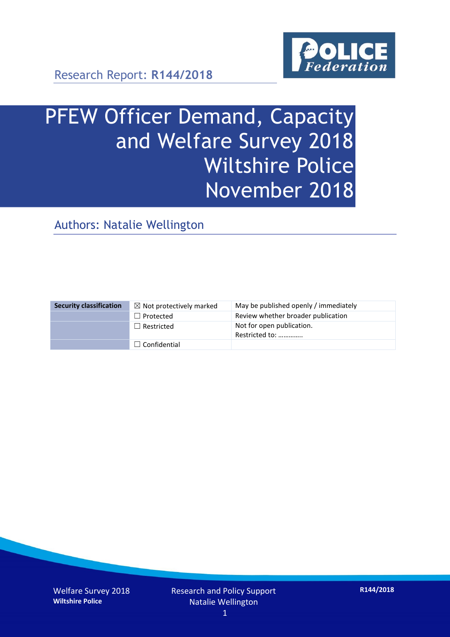

Research Report: **R144/2018**

# PFEW Officer Demand, Capacity and Welfare Survey 2018 Wiltshire Police November 2018

Authors: Natalie Wellington

| <b>Security classification</b> | $\boxtimes$ Not protectively marked | May be published openly / immediately       |
|--------------------------------|-------------------------------------|---------------------------------------------|
|                                | $\Box$ Protected                    | Review whether broader publication          |
|                                | $\Box$ Restricted                   | Not for open publication.<br>Restricted to: |
|                                | $\Box$ Confidential                 |                                             |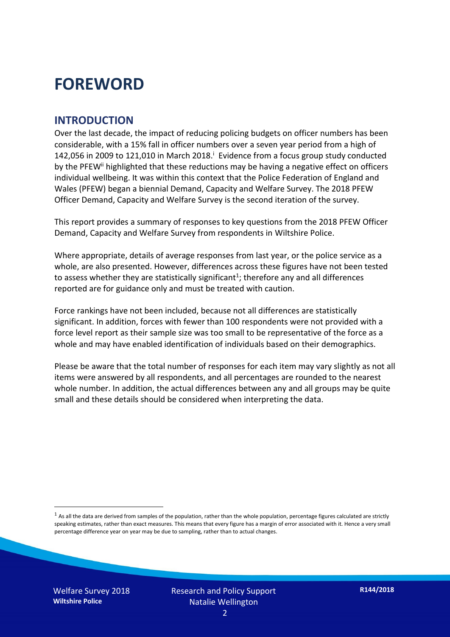### **FOREWORD**

#### **INTRODUCTION**

Over the last decade, the impact of reducing policing budgets on officer numbers has been considerable, with a 15% fall in officer numbers over a seven year period from a high of 142,056 in 2009 to 121,010 in March 2018. $^{\mathrm{i}}$  Evidence from a focus group study conducted by the PFEW<sup>ii</sup> highlighted that these reductions may be having a negative effect on officers individual wellbeing. It was within this context that the Police Federation of England and Wales (PFEW) began a biennial Demand, Capacity and Welfare Survey. The 2018 PFEW Officer Demand, Capacity and Welfare Survey is the second iteration of the survey.

This report provides a summary of responses to key questions from the 2018 PFEW Officer Demand, Capacity and Welfare Survey from respondents in Wiltshire Police.

Where appropriate, details of average responses from last year, or the police service as a whole, are also presented. However, differences across these figures have not been tested to assess whether they are statistically significant<sup>1</sup>; therefore any and all differences reported are for guidance only and must be treated with caution.

Force rankings have not been included, because not all differences are statistically significant. In addition, forces with fewer than 100 respondents were not provided with a force level report as their sample size was too small to be representative of the force as a whole and may have enabled identification of individuals based on their demographics.

Please be aware that the total number of responses for each item may vary slightly as not all items were answered by all respondents, and all percentages are rounded to the nearest whole number. In addition, the actual differences between any and all groups may be quite small and these details should be considered when interpreting the data.

-

 $<sup>1</sup>$  As all the data are derived from samples of the population, rather than the whole population, percentage figures calculated are strictly</sup> speaking estimates, rather than exact measures. This means that every figure has a margin of error associated with it. Hence a very small percentage difference year on year may be due to sampling, rather than to actual changes.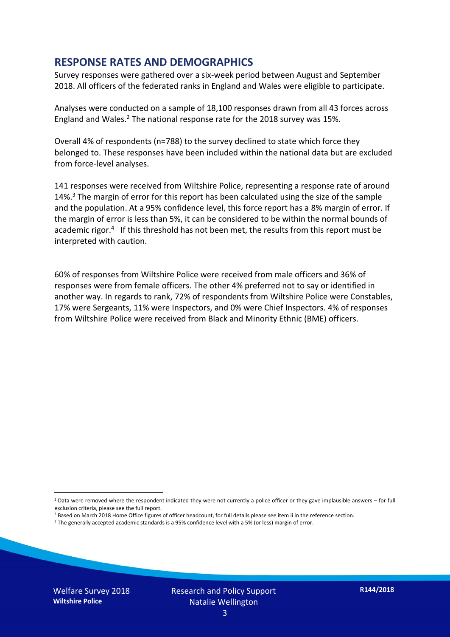#### **RESPONSE RATES AND DEMOGRAPHICS**

Survey responses were gathered over a six-week period between August and September 2018. All officers of the federated ranks in England and Wales were eligible to participate.

Analyses were conducted on a sample of 18,100 responses drawn from all 43 forces across England and Wales.<sup>2</sup> The national response rate for the 2018 survey was 15%.

Overall 4% of respondents (n=788) to the survey declined to state which force they belonged to. These responses have been included within the national data but are excluded from force-level analyses.

141 responses were received from Wiltshire Police, representing a response rate of around 14%.<sup>3</sup> The margin of error for this report has been calculated using the size of the sample and the population. At a 95% confidence level, this force report has a 8% margin of error. If the margin of error is less than 5%, it can be considered to be within the normal bounds of academic rigor.<sup>4</sup> If this threshold has not been met, the results from this report must be interpreted with caution.

60% of responses from Wiltshire Police were received from male officers and 36% of responses were from female officers. The other 4% preferred not to say or identified in another way. In regards to rank, 72% of respondents from Wiltshire Police were Constables, 17% were Sergeants, 11% were Inspectors, and 0% were Chief Inspectors. 4% of responses from Wiltshire Police were received from Black and Minority Ethnic (BME) officers.

-

 $2$  Data were removed where the respondent indicated they were not currently a police officer or they gave implausible answers – for full exclusion criteria, please see the full report.

<sup>3</sup> Based on March 2018 Home Office figures of officer headcount, for full details please see item ii in the reference section.

<sup>4</sup> The generally accepted academic standards is a 95% confidence level with a 5% (or less) margin of error.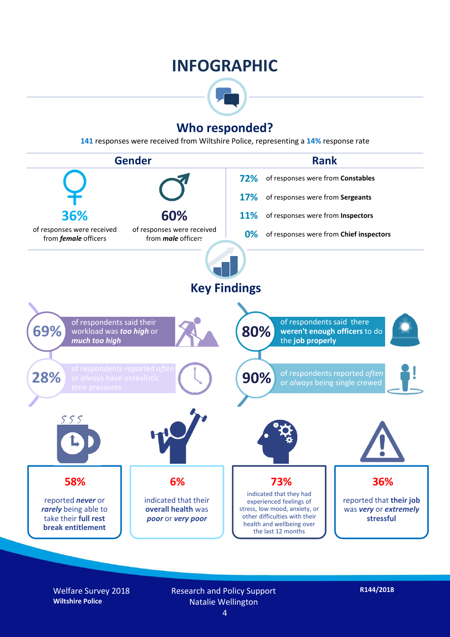### **INFOGRAPHIC**



#### **Who responded?**

**141** responses were received from Wiltshire Police, representing a **14%** response rate



Welfare Survey 2018 **Wiltshire Police**

Research and Policy Support Natalie Wellington

**R144/2018**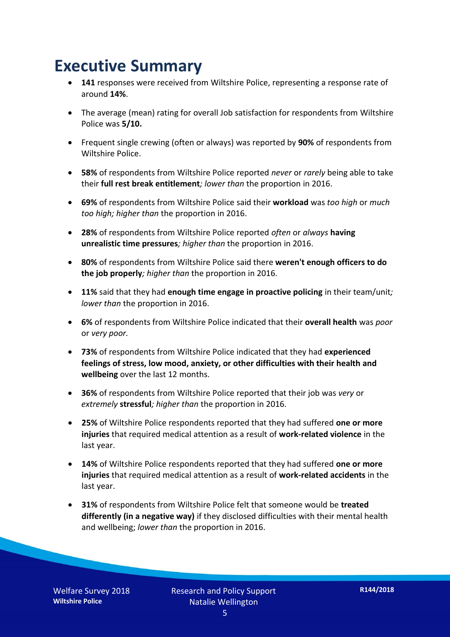### **Executive Summary**

- **141** responses were received from Wiltshire Police, representing a response rate of around **14%**.
- The average (mean) rating for overall Job satisfaction for respondents from Wiltshire Police was **5/10.**
- Frequent single crewing (often or always) was reported by **90%** of respondents from Wiltshire Police.
- **58%** of respondents from Wiltshire Police reported *never* or *rarely* being able to take their **full rest break entitlement***; lower than* the proportion in 2016.
- **69%** of respondents from Wiltshire Police said their **workload** was *too high* or *much too high; higher than* the proportion in 2016.
- **28%** of respondents from Wiltshire Police reported *often* or *always* **having unrealistic time pressures***; higher than* the proportion in 2016.
- **80%** of respondents from Wiltshire Police said there **weren't enough officers to do the job properly***; higher than* the proportion in 2016.
- **11%** said that they had **enough time engage in proactive policing** in their team/unit*; lower than* the proportion in 2016.
- **6%** of respondents from Wiltshire Police indicated that their **overall health** was *poor* or *very poor.*
- **73%** of respondents from Wiltshire Police indicated that they had **experienced feelings of stress, low mood, anxiety, or other difficulties with their health and wellbeing** over the last 12 months.
- **36%** of respondents from Wiltshire Police reported that their job was *very* or *extremely* **stressful***; higher than* the proportion in 2016.
- **25%** of Wiltshire Police respondents reported that they had suffered **one or more injuries** that required medical attention as a result of **work-related violence** in the last year.
- **14%** of Wiltshire Police respondents reported that they had suffered **one or more injuries** that required medical attention as a result of **work-related accidents** in the last year.
- **31%** of respondents from Wiltshire Police felt that someone would be **treated differently (in a negative way)** if they disclosed difficulties with their mental health and wellbeing; *lower than* the proportion in 2016.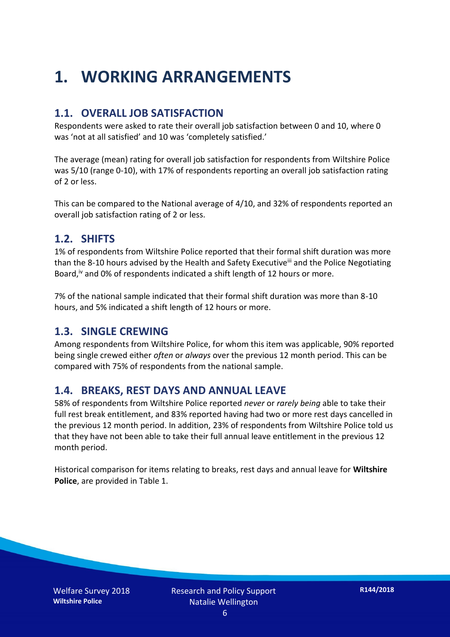## **1. WORKING ARRANGEMENTS**

#### **1.1. OVERALL JOB SATISFACTION**

Respondents were asked to rate their overall job satisfaction between 0 and 10, where 0 was 'not at all satisfied' and 10 was 'completely satisfied.'

The average (mean) rating for overall job satisfaction for respondents from Wiltshire Police was 5/10 (range 0-10), with 17% of respondents reporting an overall job satisfaction rating of 2 or less.

This can be compared to the National average of 4/10, and 32% of respondents reported an overall job satisfaction rating of 2 or less.

#### **1.2. SHIFTS**

1% of respondents from Wiltshire Police reported that their formal shift duration was more than the 8-10 hours advised by the Health and Safety Executive<sup>iii</sup> and the Police Negotiating Board,<sup>iv</sup> and 0% of respondents indicated a shift length of 12 hours or more.

7% of the national sample indicated that their formal shift duration was more than 8-10 hours, and 5% indicated a shift length of 12 hours or more.

#### **1.3. SINGLE CREWING**

Among respondents from Wiltshire Police, for whom this item was applicable, 90% reported being single crewed either *often* or *always* over the previous 12 month period. This can be compared with 75% of respondents from the national sample.

#### **1.4. BREAKS, REST DAYS AND ANNUAL LEAVE**

58% of respondents from Wiltshire Police reported *never* or *rarely being* able to take their full rest break entitlement, and 83% reported having had two or more rest days cancelled in the previous 12 month period. In addition, 23% of respondents from Wiltshire Police told us that they have not been able to take their full annual leave entitlement in the previous 12 month period.

Historical comparison for items relating to breaks, rest days and annual leave for **Wiltshire Police**, are provided in Table 1.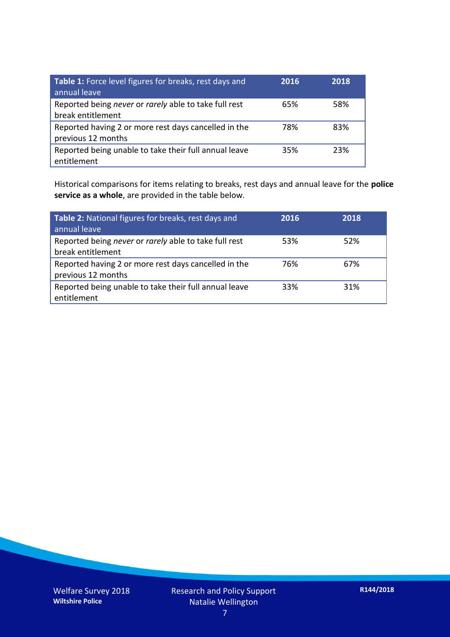| Table 1: Force level figures for breaks, rest days and<br>annual leave     | 2016 | 2018 |
|----------------------------------------------------------------------------|------|------|
| Reported being never or rarely able to take full rest<br>break entitlement | 65%  | 58%  |
| Reported having 2 or more rest days cancelled in the<br>previous 12 months | 78%  | 83%  |
| Reported being unable to take their full annual leave<br>entitlement       | 35%  | 23%  |

Historical comparisons for items relating to breaks, rest days and annual leave for the **police service as a whole**, are provided in the table below.

| Table 2: National figures for breaks, rest days and<br>annual leave        | 2016 | 2018 |
|----------------------------------------------------------------------------|------|------|
| Reported being never or rarely able to take full rest<br>break entitlement | 53%  | 52%  |
| Reported having 2 or more rest days cancelled in the<br>previous 12 months | 76%  | 67%  |
| Reported being unable to take their full annual leave<br>entitlement       | 33%  | 31%  |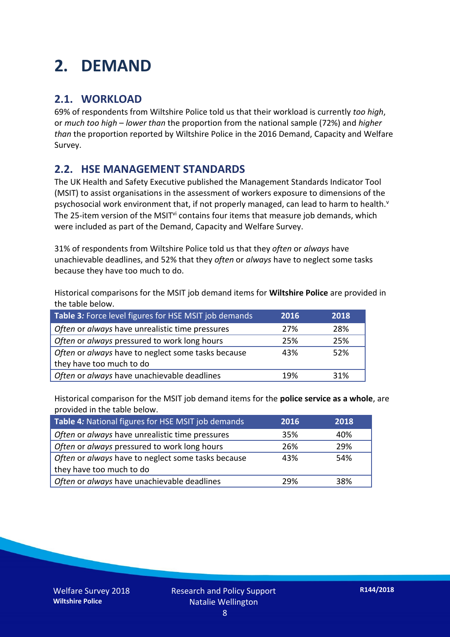## **2. DEMAND**

#### **2.1. WORKLOAD**

69% of respondents from Wiltshire Police told us that their workload is currently *too high*, or *much too high* – *lower than* the proportion from the national sample (72%) and *higher than* the proportion reported by Wiltshire Police in the 2016 Demand, Capacity and Welfare Survey.

#### **2.2. HSE MANAGEMENT STANDARDS**

The UK Health and Safety Executive published the Management Standards Indicator Tool (MSIT) to assist organisations in the assessment of workers exposure to dimensions of the psychosocial work environment that, if not properly managed, can lead to harm to health.<sup>v</sup> The 25-item version of the MSIT<sup>vi</sup> contains four items that measure job demands, which were included as part of the Demand, Capacity and Welfare Survey.

31% of respondents from Wiltshire Police told us that they *often* or *always* have unachievable deadlines, and 52% that they *often* or *always* have to neglect some tasks because they have too much to do.

Historical comparisons for the MSIT job demand items for **Wiltshire Police** are provided in the table below.

| Table 3: Force level figures for HSE MSIT job demands | 2016 | 2018 |
|-------------------------------------------------------|------|------|
| Often or always have unrealistic time pressures       | 27%  | 28%  |
| Often or always pressured to work long hours          | 25%  | 25%  |
| Often or always have to neglect some tasks because    | 43%  | 52%  |
| they have too much to do                              |      |      |
| Often or always have unachievable deadlines           | 19%  | 31%  |

Historical comparison for the MSIT job demand items for the **police service as a whole**, are provided in the table below.

| Table 4: National figures for HSE MSIT job demands | 2016 | 2018 |
|----------------------------------------------------|------|------|
| Often or always have unrealistic time pressures    | 35%  | 40%  |
| Often or always pressured to work long hours       | 26%  | 29%  |
| Often or always have to neglect some tasks because | 43%  | 54%  |
| they have too much to do                           |      |      |
| Often or always have unachievable deadlines        | 29%  | 38%  |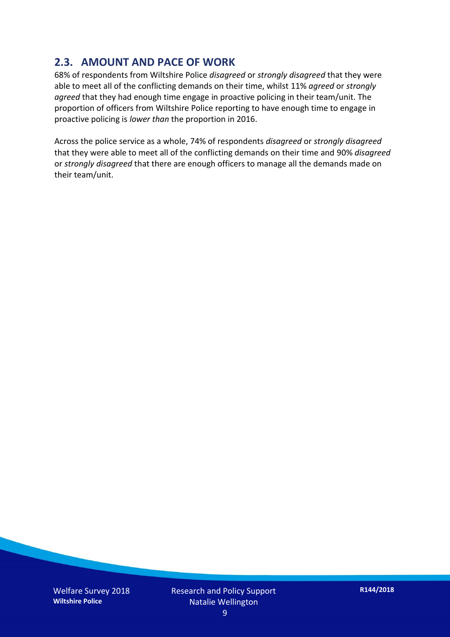#### **2.3. AMOUNT AND PACE OF WORK**

68% of respondents from Wiltshire Police *disagreed* or *strongly disagreed* that they were able to meet all of the conflicting demands on their time, whilst 11% *agreed* or *strongly agreed* that they had enough time engage in proactive policing in their team/unit. The proportion of officers from Wiltshire Police reporting to have enough time to engage in proactive policing is *lower than* the proportion in 2016.

Across the police service as a whole, 74% of respondents *disagreed* or *strongly disagreed* that they were able to meet all of the conflicting demands on their time and 90% *disagreed* or *strongly disagreed* that there are enough officers to manage all the demands made on their team/unit.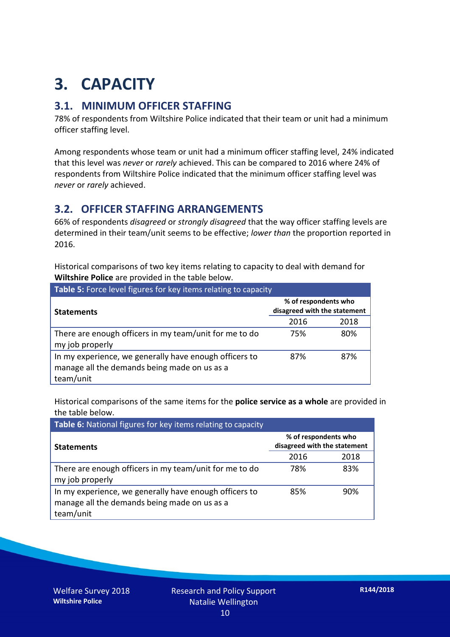## **3. CAPACITY**

#### **3.1. MINIMUM OFFICER STAFFING**

78% of respondents from Wiltshire Police indicated that their team or unit had a minimum officer staffing level.

Among respondents whose team or unit had a minimum officer staffing level, 24% indicated that this level was *never* or *rarely* achieved. This can be compared to 2016 where 24% of respondents from Wiltshire Police indicated that the minimum officer staffing level was *never* or *rarely* achieved.

#### **3.2. OFFICER STAFFING ARRANGEMENTS**

66% of respondents *disagreed* or *strongly disagreed* that the way officer staffing levels are determined in their team/unit seems to be effective; *lower than* the proportion reported in 2016.

Historical comparisons of two key items relating to capacity to deal with demand for **Wiltshire Police** are provided in the table below.

| <b>Table 5:</b> Force level figures for key items relating to capacity                                              |                                                      |      |  |
|---------------------------------------------------------------------------------------------------------------------|------------------------------------------------------|------|--|
| <b>Statements</b>                                                                                                   | % of respondents who<br>disagreed with the statement |      |  |
|                                                                                                                     | 2016                                                 | 2018 |  |
| There are enough officers in my team/unit for me to do<br>my job properly                                           | 75%                                                  | 80%  |  |
| In my experience, we generally have enough officers to<br>manage all the demands being made on us as a<br>team/unit | 87%                                                  | 87%  |  |

Historical comparisons of the same items for the **police service as a whole** are provided in the table below.

| Table 6: National figures for key items relating to capacity                                                        |                                                      |      |  |  |
|---------------------------------------------------------------------------------------------------------------------|------------------------------------------------------|------|--|--|
| <b>Statements</b>                                                                                                   | % of respondents who<br>disagreed with the statement |      |  |  |
|                                                                                                                     | 2016                                                 | 2018 |  |  |
| There are enough officers in my team/unit for me to do<br>my job properly                                           | 78%                                                  | 83%  |  |  |
| In my experience, we generally have enough officers to<br>manage all the demands being made on us as a<br>team/unit | 85%                                                  | 90%  |  |  |

Welfare Survey 2018 **Wiltshire Police**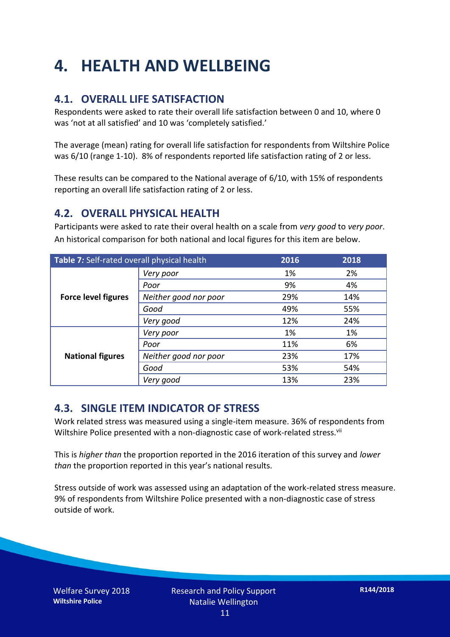## **4. HEALTH AND WELLBEING**

#### **4.1. OVERALL LIFE SATISFACTION**

Respondents were asked to rate their overall life satisfaction between 0 and 10, where 0 was 'not at all satisfied' and 10 was 'completely satisfied.'

The average (mean) rating for overall life satisfaction for respondents from Wiltshire Police was 6/10 (range 1-10). 8% of respondents reported life satisfaction rating of 2 or less.

These results can be compared to the National average of 6/10, with 15% of respondents reporting an overall life satisfaction rating of 2 or less.

#### **4.2. OVERALL PHYSICAL HEALTH**

Participants were asked to rate their overal health on a scale from *very good* to *very poor*. An historical comparison for both national and local figures for this item are below.

| Table 7: Self-rated overall physical health |                       | 2016 | 2018 |
|---------------------------------------------|-----------------------|------|------|
|                                             | Very poor             | 1%   | 2%   |
| <b>Force level figures</b>                  | Poor                  | 9%   | 4%   |
|                                             | Neither good nor poor | 29%  | 14%  |
|                                             | Good                  | 49%  | 55%  |
|                                             | Very good             | 12%  | 24%  |
| <b>National figures</b>                     | Very poor             | 1%   | 1%   |
|                                             | Poor                  | 11%  | 6%   |
|                                             | Neither good nor poor | 23%  | 17%  |
|                                             | Good                  | 53%  | 54%  |
|                                             | Very good             | 13%  | 23%  |

#### **4.3. SINGLE ITEM INDICATOR OF STRESS**

Work related stress was measured using a single-item measure. 36% of respondents from Wiltshire Police presented with a non-diagnostic case of work-related stress.<sup>vii</sup>

This is *higher than* the proportion reported in the 2016 iteration of this survey and *lower than* the proportion reported in this year's national results.

Stress outside of work was assessed using an adaptation of the work-related stress measure. 9% of respondents from Wiltshire Police presented with a non-diagnostic case of stress outside of work.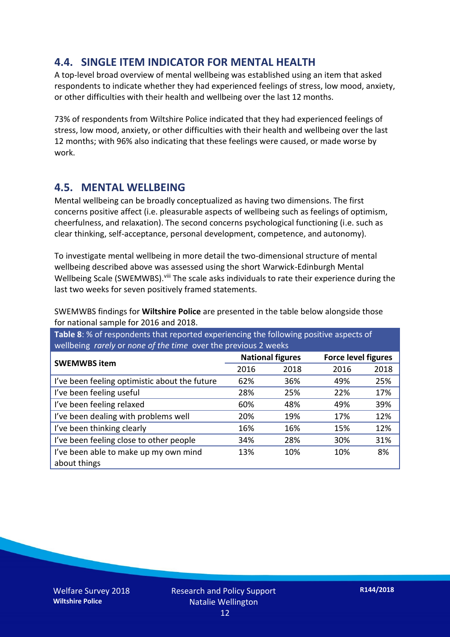#### **4.4. SINGLE ITEM INDICATOR FOR MENTAL HEALTH**

A top-level broad overview of mental wellbeing was established using an item that asked respondents to indicate whether they had experienced feelings of stress, low mood, anxiety, or other difficulties with their health and wellbeing over the last 12 months.

73% of respondents from Wiltshire Police indicated that they had experienced feelings of stress, low mood, anxiety, or other difficulties with their health and wellbeing over the last 12 months; with 96% also indicating that these feelings were caused, or made worse by work.

#### **4.5. MENTAL WELLBEING**

Mental wellbeing can be broadly conceptualized as having two dimensions. The first concerns positive affect (i.e. pleasurable aspects of wellbeing such as feelings of optimism, cheerfulness, and relaxation). The second concerns psychological functioning (i.e. such as clear thinking, self-acceptance, personal development, competence, and autonomy).

To investigate mental wellbeing in more detail the two-dimensional structure of mental wellbeing described above was assessed using the short Warwick-Edinburgh Mental Wellbeing Scale (SWEMWBS). viii The scale asks individuals to rate their experience during the last two weeks for seven positively framed statements.

SWEMWBS findings for **Wiltshire Police** are presented in the table below alongside those for national sample for 2016 and 2018.

**Table 8**: % of respondents that reported experiencing the following positive aspects of wellbeing *rarely* or *none of the time* over the previous 2 weeks

|                                               | <b>National figures</b> |      | <b>Force level figures</b> |      |
|-----------------------------------------------|-------------------------|------|----------------------------|------|
| <b>SWEMWBS item</b>                           | 2016                    | 2018 | 2016                       | 2018 |
| I've been feeling optimistic about the future | 62%                     | 36%  | 49%                        | 25%  |
| I've been feeling useful                      | 28%                     | 25%  | 22%                        | 17%  |
| I've been feeling relaxed                     | 60%                     | 48%  | 49%                        | 39%  |
| I've been dealing with problems well          | 20%                     | 19%  | 17%                        | 12%  |
| I've been thinking clearly                    | 16%                     | 16%  | 15%                        | 12%  |
| I've been feeling close to other people       | 34%                     | 28%  | 30%                        | 31%  |
| I've been able to make up my own mind         | 13%                     | 10%  | 10%                        | 8%   |
| about things                                  |                         |      |                            |      |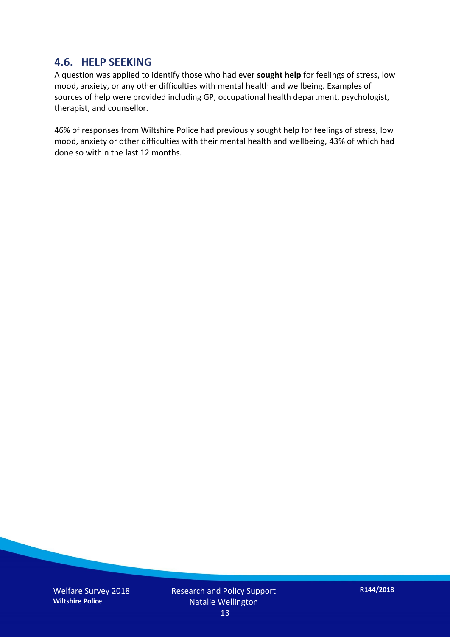#### **4.6. HELP SEEKING**

A question was applied to identify those who had ever **sought help** for feelings of stress, low mood, anxiety, or any other difficulties with mental health and wellbeing. Examples of sources of help were provided including GP, occupational health department, psychologist, therapist, and counsellor.

46% of responses from Wiltshire Police had previously sought help for feelings of stress, low mood, anxiety or other difficulties with their mental health and wellbeing, 43% of which had done so within the last 12 months.

Welfare Survey 2018 **Wiltshire Police**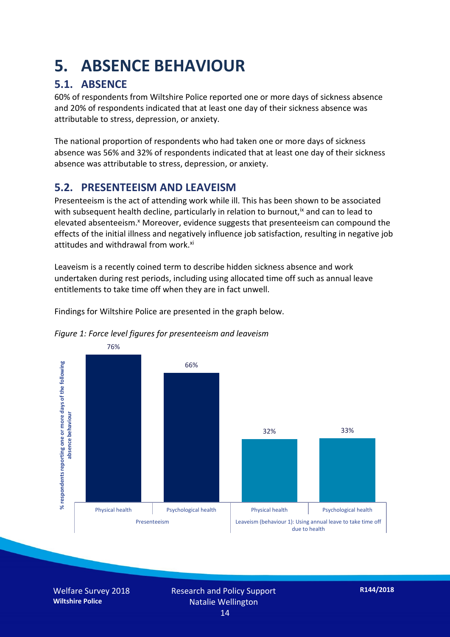### **5. ABSENCE BEHAVIOUR**

#### **5.1. ABSENCE**

60% of respondents from Wiltshire Police reported one or more days of sickness absence and 20% of respondents indicated that at least one day of their sickness absence was attributable to stress, depression, or anxiety.

The national proportion of respondents who had taken one or more days of sickness absence was 56% and 32% of respondents indicated that at least one day of their sickness absence was attributable to stress, depression, or anxiety.

#### **5.2. PRESENTEEISM AND LEAVEISM**

Presenteeism is the act of attending work while ill. This has been shown to be associated with subsequent health decline, particularly in relation to burnout,  $\alpha$  and can to lead to elevated absenteeism.<sup>x</sup> Moreover, evidence suggests that presenteeism can compound the effects of the initial illness and negatively influence job satisfaction, resulting in negative job attitudes and withdrawal from work.<sup>xi</sup>

Leaveism is a recently coined term to describe hidden sickness absence and work undertaken during rest periods, including using allocated time off such as annual leave entitlements to take time off when they are in fact unwell.

Findings for Wiltshire Police are presented in the graph below.





Welfare Survey 2018 **Wiltshire Police**

Research and Policy Support Natalie Wellington 14

**R144/2018**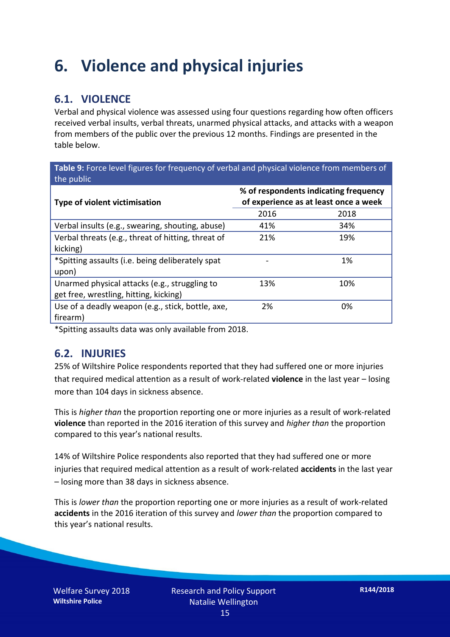### **6. Violence and physical injuries**

#### **6.1. VIOLENCE**

Verbal and physical violence was assessed using four questions regarding how often officers received verbal insults, verbal threats, unarmed physical attacks, and attacks with a weapon from members of the public over the previous 12 months. Findings are presented in the table below.

**Table 9:** Force level figures for frequency of verbal and physical violence from members of the public

| <b>Type of violent victimisation</b>               | % of respondents indicating frequency<br>of experience as at least once a week |      |  |
|----------------------------------------------------|--------------------------------------------------------------------------------|------|--|
|                                                    | 2016                                                                           | 2018 |  |
| Verbal insults (e.g., swearing, shouting, abuse)   | 41%                                                                            | 34%  |  |
| Verbal threats (e.g., threat of hitting, threat of | 21%                                                                            | 19%  |  |
| kicking)                                           |                                                                                |      |  |
| *Spitting assaults (i.e. being deliberately spat   |                                                                                | 1%   |  |
| upon)                                              |                                                                                |      |  |
| Unarmed physical attacks (e.g., struggling to      | 13%                                                                            | 10%  |  |
| get free, wrestling, hitting, kicking)             |                                                                                |      |  |
| Use of a deadly weapon (e.g., stick, bottle, axe,  | 2%                                                                             | 0%   |  |
| firearm)                                           |                                                                                |      |  |

\*Spitting assaults data was only available from 2018.

#### **6.2. INJURIES**

25% of Wiltshire Police respondents reported that they had suffered one or more injuries that required medical attention as a result of work-related **violence** in the last year – losing more than 104 days in sickness absence.

This is *higher than* the proportion reporting one or more injuries as a result of work-related **violence** than reported in the 2016 iteration of this survey and *higher than* the proportion compared to this year's national results.

14% of Wiltshire Police respondents also reported that they had suffered one or more injuries that required medical attention as a result of work-related **accidents** in the last year – losing more than 38 days in sickness absence.

This is *lower than* the proportion reporting one or more injuries as a result of work-related **accidents** in the 2016 iteration of this survey and *lower than* the proportion compared to this year's national results.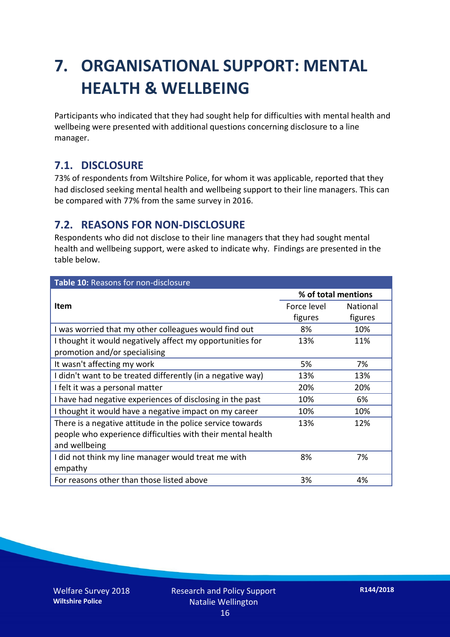## **7. ORGANISATIONAL SUPPORT: MENTAL HEALTH & WELLBEING**

Participants who indicated that they had sought help for difficulties with mental health and wellbeing were presented with additional questions concerning disclosure to a line manager.

#### **7.1. DISCLOSURE**

73% of respondents from Wiltshire Police, for whom it was applicable, reported that they had disclosed seeking mental health and wellbeing support to their line managers. This can be compared with 77% from the same survey in 2016.

#### **7.2. REASONS FOR NON-DISCLOSURE**

Respondents who did not disclose to their line managers that they had sought mental health and wellbeing support, were asked to indicate why. Findings are presented in the table below.

| Table 10: Reasons for non-disclosure                        |                     |          |  |
|-------------------------------------------------------------|---------------------|----------|--|
|                                                             | % of total mentions |          |  |
| <b>Item</b>                                                 | Force level         | National |  |
|                                                             | figures             | figures  |  |
| I was worried that my other colleagues would find out       | 8%                  | 10%      |  |
| I thought it would negatively affect my opportunities for   | 13%                 | 11%      |  |
| promotion and/or specialising                               |                     |          |  |
| It wasn't affecting my work                                 | 5%                  | 7%       |  |
| I didn't want to be treated differently (in a negative way) | 13%                 | 13%      |  |
| I felt it was a personal matter                             | 20%                 | 20%      |  |
| I have had negative experiences of disclosing in the past   | 10%                 | 6%       |  |
| I thought it would have a negative impact on my career      | 10%                 | 10%      |  |
| There is a negative attitude in the police service towards  | 13%                 | 12%      |  |
| people who experience difficulties with their mental health |                     |          |  |
| and wellbeing                                               |                     |          |  |
| I did not think my line manager would treat me with         | 8%                  | 7%       |  |
| empathy                                                     |                     |          |  |
| For reasons other than those listed above                   | 3%                  | 4%       |  |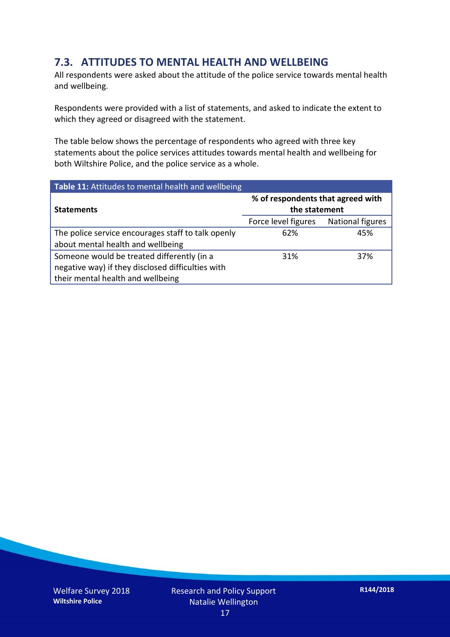#### **7.3. ATTITUDES TO MENTAL HEALTH AND WELLBEING**

All respondents were asked about the attitude of the police service towards mental health and wellbeing.

Respondents were provided with a list of statements, and asked to indicate the extent to which they agreed or disagreed with the statement.

The table below shows the percentage of respondents who agreed with three key statements about the police services attitudes towards mental health and wellbeing for both Wiltshire Police, and the police service as a whole.

| Table 11: Attitudes to mental health and wellbeing |                                                    |                         |
|----------------------------------------------------|----------------------------------------------------|-------------------------|
| <b>Statements</b>                                  | % of respondents that agreed with<br>the statement |                         |
|                                                    | Force level figures                                | <b>National figures</b> |
| The police service encourages staff to talk openly | 62%                                                | 45%                     |
| about mental health and wellbeing                  |                                                    |                         |
| Someone would be treated differently (in a         | 31%                                                | 37%                     |
| negative way) if they disclosed difficulties with  |                                                    |                         |
| their mental health and wellbeing                  |                                                    |                         |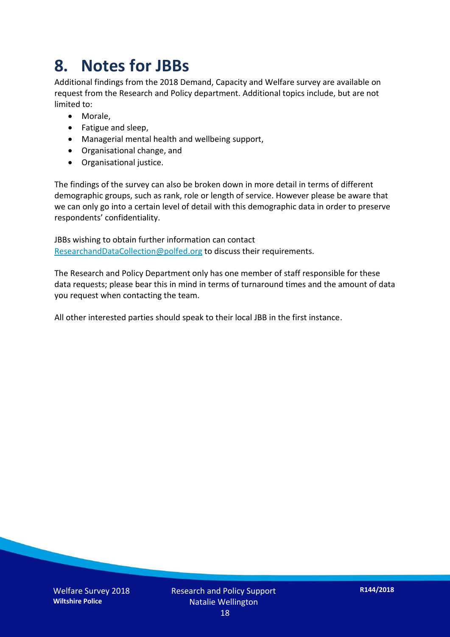### **8. Notes for JBBs**

Additional findings from the 2018 Demand, Capacity and Welfare survey are available on request from the Research and Policy department. Additional topics include, but are not limited to:

- Morale,
- Fatigue and sleep,
- Managerial mental health and wellbeing support,
- Organisational change, and
- Organisational justice.

The findings of the survey can also be broken down in more detail in terms of different demographic groups, such as rank, role or length of service. However please be aware that we can only go into a certain level of detail with this demographic data in order to preserve respondents' confidentiality.

JBBs wishing to obtain further information can contact [ResearchandDataCollection@polfed.org](mailto:ResearchandDataCollection@polfed.org) to discuss their requirements.

The Research and Policy Department only has one member of staff responsible for these data requests; please bear this in mind in terms of turnaround times and the amount of data you request when contacting the team.

All other interested parties should speak to their local JBB in the first instance.